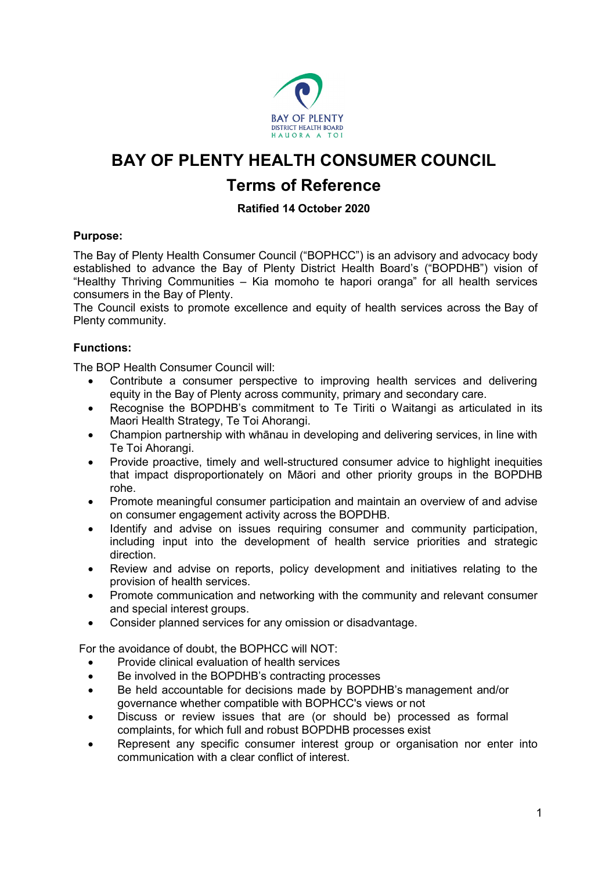

# **BAY OF PLENTY HEALTH CONSUMER COUNCIL**

# **Terms of Reference**

# **Ratified 14 October 2020**

# **Purpose:**

The Bay of Plenty Health Consumer Council ("BOPHCC") is an advisory and advocacy body established to advance the Bay of Plenty District Health Board's ("BOPDHB") vision of "Healthy Thriving Communities – Kia momoho te hapori oranga" for all health services consumers in the Bay of Plenty.

The Council exists to promote excellence and equity of health services across the Bay of Plenty community.

# **Functions:**

The BOP Health Consumer Council will:

- Contribute a consumer perspective to improving health services and delivering equity in the Bay of Plenty across community, primary and secondary care.
- Recognise the BOPDHB's commitment to Te Tiriti o Waitangi as articulated in its Maori Health Strategy, Te Toi Ahorangi.
- Champion partnership with whānau in developing and delivering services, in line with Te Toi Ahorangi.
- Provide proactive, timely and well-structured consumer advice to highlight inequities that impact disproportionately on Māori and other priority groups in the BOPDHB rohe.
- Promote meaningful consumer participation and maintain an overview of and advise on consumer engagement activity across the BOPDHB.
- Identify and advise on issues requiring consumer and community participation, including input into the development of health service priorities and strategic direction.
- Review and advise on reports, policy development and initiatives relating to the provision of health services.
- Promote communication and networking with the community and relevant consumer and special interest groups.
- Consider planned services for any omission or disadvantage.

For the avoidance of doubt, the BOPHCC will NOT:

- Provide clinical evaluation of health services
- Be involved in the BOPDHB's contracting processes
- Be held accountable for decisions made by BOPDHB's management and/or governance whether compatible with BOPHCC's views or not
- Discuss or review issues that are (or should be) processed as formal complaints, for which full and robust BOPDHB processes exist
- Represent any specific consumer interest group or organisation nor enter into communication with a clear conflict of interest.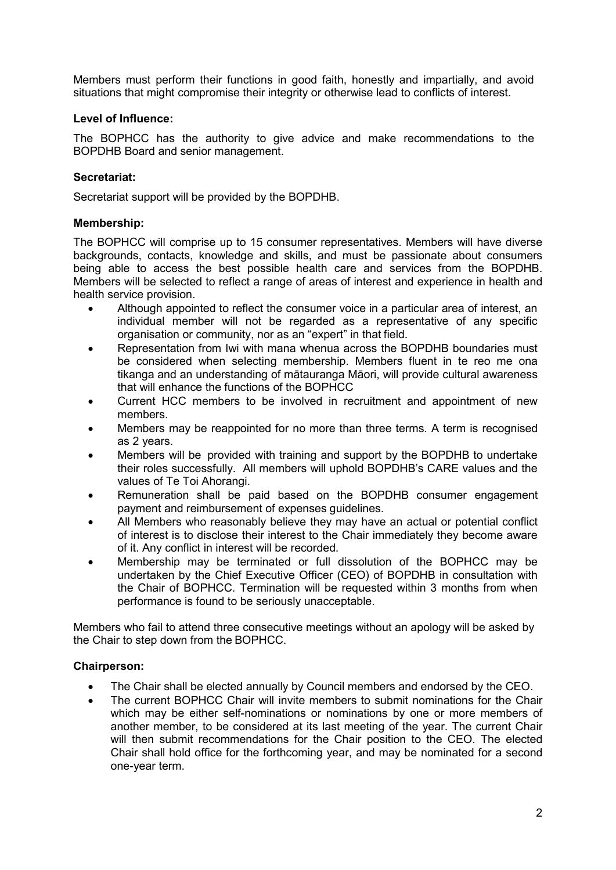Members must perform their functions in good faith, honestly and impartially, and avoid situations that might compromise their integrity or otherwise lead to conflicts of interest.

#### **Level of Influence:**

The BOPHCC has the authority to give advice and make recommendations to the BOPDHB Board and senior management.

### **Secretariat:**

Secretariat support will be provided by the BOPDHB.

### **Membership:**

The BOPHCC will comprise up to 15 consumer representatives. Members will have diverse backgrounds, contacts, knowledge and skills, and must be passionate about consumers being able to access the best possible health care and services from the BOPDHB. Members will be selected to reflect a range of areas of interest and experience in health and health service provision.

- Although appointed to reflect the consumer voice in a particular area of interest, an individual member will not be regarded as a representative of any specific organisation or community, nor as an "expert" in that field.
- Representation from Iwi with mana whenua across the BOPDHB boundaries must be considered when selecting membership. Members fluent in te reo me ona tikanga and an understanding of mātauranga Māori, will provide cultural awareness that will enhance the functions of the BOPHCC
- Current HCC members to be involved in recruitment and appointment of new members.
- Members may be reappointed for no more than three terms. A term is recognised as 2 years.
- Members will be provided with training and support by the BOPDHB to undertake their roles successfully. All members will uphold BOPDHB's CARE values and the values of Te Toi Ahorangi.
- Remuneration shall be paid based on the BOPDHB consumer engagement payment and reimbursement of expenses guidelines.
- All Members who reasonably believe they may have an actual or potential conflict of interest is to disclose their interest to the Chair immediately they become aware of it. Any conflict in interest will be recorded.
- Membership may be terminated or full dissolution of the BOPHCC may be undertaken by the Chief Executive Officer (CEO) of BOPDHB in consultation with the Chair of BOPHCC. Termination will be requested within 3 months from when performance is found to be seriously unacceptable.

Members who fail to attend three consecutive meetings without an apology will be asked by the Chair to step down from the BOPHCC.

#### **Chairperson:**

- The Chair shall be elected annually by Council members and endorsed by the CEO.
- The current BOPHCC Chair will invite members to submit nominations for the Chair which may be either self-nominations or nominations by one or more members of another member, to be considered at its last meeting of the year. The current Chair will then submit recommendations for the Chair position to the CEO. The elected Chair shall hold office for the forthcoming year, and may be nominated for a second one-year term.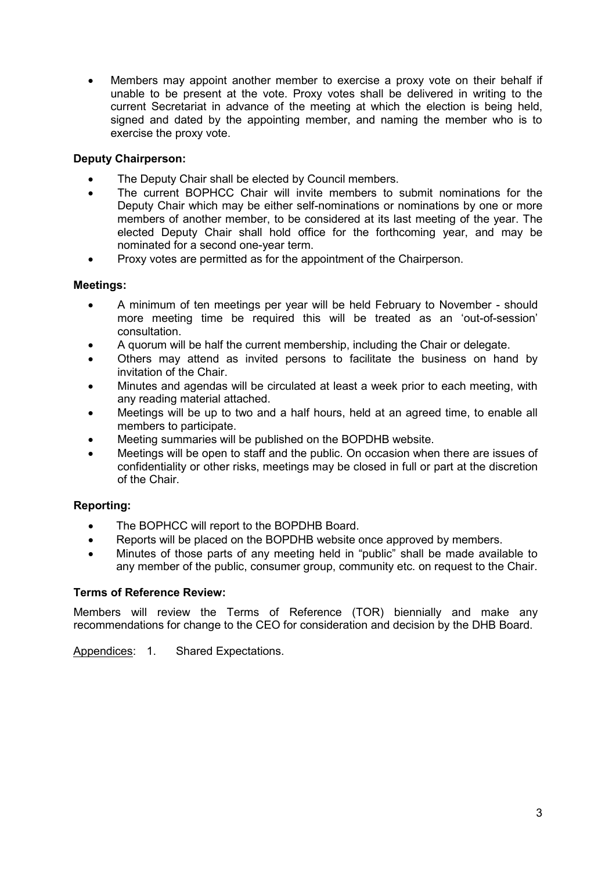• Members may appoint another member to exercise a proxy vote on their behalf if unable to be present at the vote. Proxy votes shall be delivered in writing to the current Secretariat in advance of the meeting at which the election is being held, signed and dated by the appointing member, and naming the member who is to exercise the proxy vote.

# **Deputy Chairperson:**

- The Deputy Chair shall be elected by Council members.
- The current BOPHCC Chair will invite members to submit nominations for the Deputy Chair which may be either self-nominations or nominations by one or more members of another member, to be considered at its last meeting of the year. The elected Deputy Chair shall hold office for the forthcoming year, and may be nominated for a second one-year term.
- Proxy votes are permitted as for the appointment of the Chairperson.

# **Meetings:**

- A minimum of ten meetings per year will be held February to November should more meeting time be required this will be treated as an 'out-of-session' consultation.
- A quorum will be half the current membership, including the Chair or delegate.
- Others may attend as invited persons to facilitate the business on hand by invitation of the Chair.
- Minutes and agendas will be circulated at least a week prior to each meeting, with any reading material attached.
- Meetings will be up to two and a half hours, held at an agreed time, to enable all members to participate.
- Meeting summaries will be published on the BOPDHB website.
- Meetings will be open to staff and the public. On occasion when there are issues of confidentiality or other risks, meetings may be closed in full or part at the discretion of the Chair.

# **Reporting:**

- The BOPHCC will report to the BOPDHB Board.
- Reports will be placed on the BOPDHB website once approved by members.
- Minutes of those parts of any meeting held in "public" shall be made available to any member of the public, consumer group, community etc. on request to the Chair.

# **Terms of Reference Review:**

Members will review the Terms of Reference (TOR) biennially and make any recommendations for change to the CEO for consideration and decision by the DHB Board.

Appendices: 1. Shared Expectations.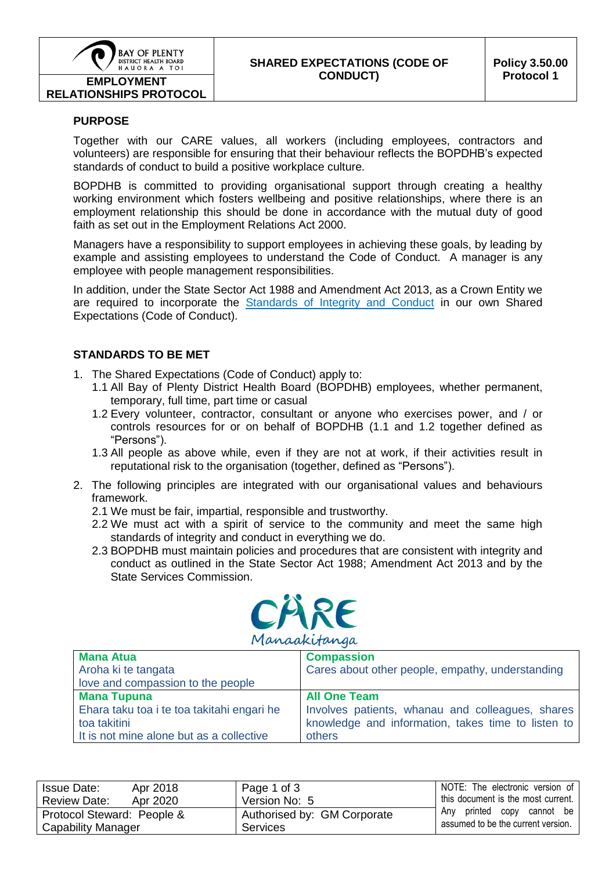

**RELATIONSHIPS PROTOCOL**

### **SHARED EXPECTATIONS (CODE OF CONDUCT)**

#### **PURPOSE**

Together with our CARE values, all workers (including employees, contractors and volunteers) are responsible for ensuring that their behaviour reflects the BOPDHB's expected standards of conduct to build a positive workplace culture.

BOPDHB is committed to providing organisational support through creating a healthy working environment which fosters wellbeing and positive relationships, where there is an employment relationship this should be done in accordance with the mutual duty of good faith as set out in the Employment Relations Act 2000.

Managers have a responsibility to support employees in achieving these goals, by leading by example and assisting employees to understand the Code of Conduct. A manager is any employee with people management responsibilities.

In addition, under the State Sector Act 1988 and Amendment Act 2013, as a Crown Entity we are required to incorporate the [Standards of Integrity and Conduct](http://www.ssc.govt.nz/upload/downloadable_files/Code-of-conduct-StateServices.pdf) in our own Shared Expectations (Code of Conduct).

#### **STANDARDS TO BE MET**

- 1. The Shared Expectations (Code of Conduct) apply to:
	- 1.1 All Bay of Plenty District Health Board (BOPDHB) employees, whether permanent, temporary, full time, part time or casual
	- 1.2 Every volunteer, contractor, consultant or anyone who exercises power, and / or controls resources for or on behalf of BOPDHB (1.1 and 1.2 together defined as "Persons").
	- 1.3 All people as above while, even if they are not at work, if their activities result in reputational risk to the organisation (together, defined as "Persons").
- 2. The following principles are integrated with our organisational values and behaviours framework.
	- 2.1 We must be fair, impartial, responsible and trustworthy.
	- 2.2 We must act with a spirit of service to the community and meet the same high standards of integrity and conduct in everything we do.
	- 2.3 BOPDHB must maintain policies and procedures that are consistent with integrity and conduct as outlined in the State Sector Act 1988; Amendment Act 2013 and by the State Services Commission.



| <b>Mana Atua</b>                           | <b>Compassion</b>                                  |  |  |
|--------------------------------------------|----------------------------------------------------|--|--|
| Aroha ki te tangata                        | Cares about other people, empathy, understanding   |  |  |
| love and compassion to the people          |                                                    |  |  |
| <b>Mana Tupuna</b>                         | <b>All One Team</b>                                |  |  |
| Ehara taku toa i te toa takitahi engari he | Involves patients, whanau and colleagues, shares   |  |  |
| toa takitini                               | knowledge and information, takes time to listen to |  |  |
| It is not mine alone but as a collective   | others                                             |  |  |

| Apr 2018<br>Issue Date:         | Page 1 of 3                 | NOTE: The electronic version of    |
|---------------------------------|-----------------------------|------------------------------------|
| <b>Review Date:</b><br>Apr 2020 | Version No: 5               | this document is the most current. |
| Protocol Steward: People &      | Authorised by: GM Corporate | Any printed copy cannot be         |
| Capability Manager              | <b>Services</b>             | assumed to be the current version. |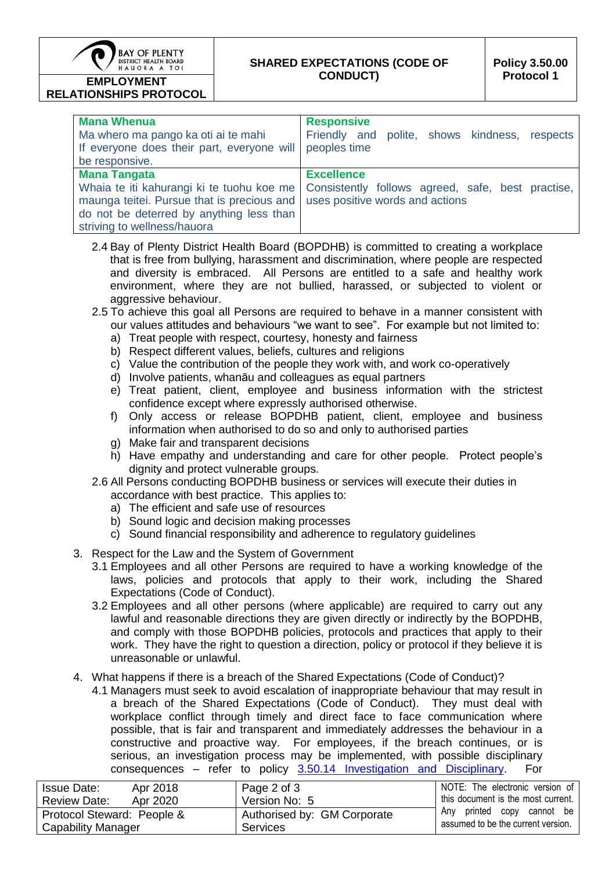

#### **SHARED EXPECTATIONS (CODE OF CONDUCT)**

# **RELATIONSHIPS PROTOCOL**

| <b>Mana Whenua</b><br>Ma whero ma pango ka oti ai te mahi<br>If everyone does their part, everyone will<br>be responsive.                                                                 | <b>Responsive</b><br>Friendly and polite, shows kindness, respects<br>peoples time                        |
|-------------------------------------------------------------------------------------------------------------------------------------------------------------------------------------------|-----------------------------------------------------------------------------------------------------------|
| <b>Mana Tangata</b><br>Whaia te iti kahurangi ki te tuohu koe me<br>maunga teitei. Pursue that is precious and<br>do not be deterred by anything less than<br>striving to wellness/hauora | <b>Excellence</b><br>Consistently follows agreed, safe, best practise,<br>uses positive words and actions |

- 2.4 Bay of Plenty District Health Board (BOPDHB) is committed to creating a workplace that is free from bullying, harassment and discrimination, where people are respected and diversity is embraced. All Persons are entitled to a safe and healthy work environment, where they are not bullied, harassed, or subjected to violent or aggressive behaviour.
- 2.5 To achieve this goal all Persons are required to behave in a manner consistent with our values attitudes and behaviours "we want to see". For example but not limited to:
	- a) Treat people with respect, courtesy, honesty and fairness
	- b) Respect different values, beliefs, cultures and religions
	- c) Value the contribution of the people they work with, and work co-operatively
	- d) Involve patients, whanāu and colleagues as equal partners
	- e) Treat patient, client, employee and business information with the strictest confidence except where expressly authorised otherwise.
	- f) Only access or release BOPDHB patient, client, employee and business information when authorised to do so and only to authorised parties
	- g) Make fair and transparent decisions
	- h) Have empathy and understanding and care for other people. Protect people's dignity and protect vulnerable groups.
- 2.6 All Persons conducting BOPDHB business or services will execute their duties in accordance with best practice. This applies to:
	- a) The efficient and safe use of resources
	- b) Sound logic and decision making processes
	- c) Sound financial responsibility and adherence to regulatory guidelines
- 3. Respect for the Law and the System of Government
	- 3.1 Employees and all other Persons are required to have a working knowledge of the laws, policies and protocols that apply to their work, including the Shared Expectations (Code of Conduct).
	- 3.2 Employees and all other persons (where applicable) are required to carry out any lawful and reasonable directions they are given directly or indirectly by the BOPDHB, and comply with those BOPDHB policies, protocols and practices that apply to their work. They have the right to question a direction, policy or protocol if they believe it is unreasonable or unlawful.
- 4. What happens if there is a breach of the Shared Expectations (Code of Conduct)?
	- 4.1 Managers must seek to avoid escalation of inappropriate behaviour that may result in a breach of the Shared Expectations (Code of Conduct). They must deal with workplace conflict through timely and direct face to face communication where possible, that is fair and transparent and immediately addresses the behaviour in a constructive and proactive way. For employees, if the breach continues, or is serious, an investigation process may be implemented, with possible disciplinary consequences – refer to policy [3.50.14 Investigation and Disciplinary.](http://docman/org/controlled/contdocs/3.50.13.pdf) For

| Issue Date:<br>Apr 2018         | Page 2 of 3                 | NOTE: The electronic version of    |
|---------------------------------|-----------------------------|------------------------------------|
| Apr 2020<br><b>Review Date:</b> | Version No: 5               | this document is the most current. |
| Protocol Steward: People &      | Authorised by: GM Corporate | Any printed copy cannot be         |
| <b>Capability Manager</b>       | <b>Services</b>             | assumed to be the current version. |